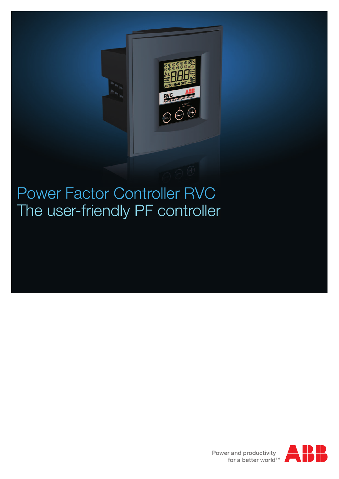

### Power Factor Controller RVC The user-friendly PF controller

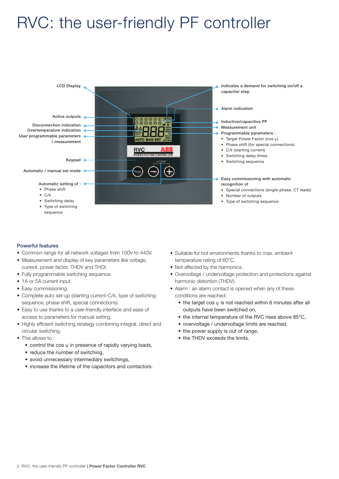### RVC: the user-friendly PF controller



### Powerful features

- Common range for all network voltages from 100V to 440V.
- Measurement and display of key parameters like voltage, current, power factor, THDV and THDI.
- Fully programmable switching sequence.
- 1A or 5A current input.
- Easy commissioning.
- Complete auto set-up (starting current-C/k, type of switching sequence, phase shift, special connections).
- Easy to use thanks to a user-friendly interface and ease of access to parameters for manual setting.
- Highly efficient switching strategy combining integral, direct and circular switching.
- This allows to :
	- control the cos  $\varphi$  in presence of rapidly varying loads,
	- reduce the number of switching.
	- avoid unnecessary intermediary switchings,
	- increase the lifetime of the capacitors and contactors.
- Suitable for hot environments thanks to max, ambient temperature rating of 60°C.
- Not affected by the harmonics.
- • Overvoltage / undervoltage protection and protections against harmonic distortion (THDV).
- Alarm : an alarm contact is opened when any of these conditions are reached:
	- the target cos  $\varphi$  is not reached within 6 minutes after all outputs have been switched on,
	- the internal temperature of the RVC rises above 85°C,
	- overvoltage / undervoltage limits are reached,
	- the power supply is out of range,
	- the THDV exceeds the limits.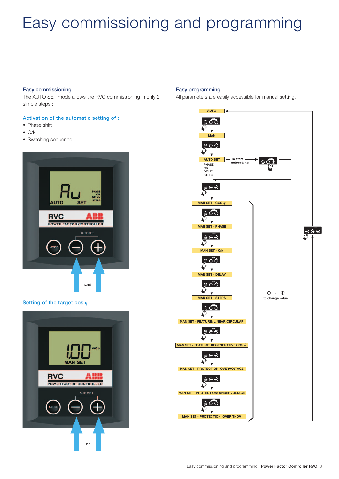# Easy commissioning and programming

### Easy commissioning

The AUTO SET mode allows the RVC commissioning in only 2 simple steps :

### Activation of the automatic setting of :

- Phase shift
- $\bullet$  C/k
- Switching sequence



### Setting of the target cos  $\varphi$



#### Easy programming

All parameters are easily accessible for manual setting.

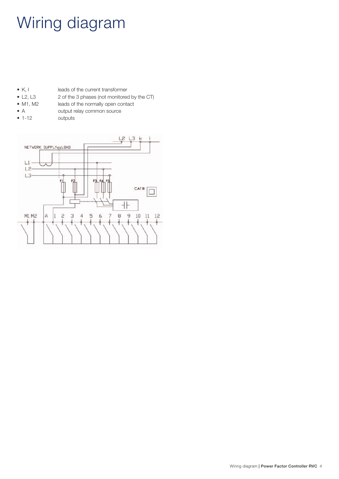# Wiring diagram

- K, I leads of the current transformer<br>• L2, L3 2 of the 3 phases (not monitored
	- 2 of the 3 phases (not monitored by the CT)
- M1, M2 leads of the normally open contact
- A output relay common source
- 
- • 1-12 outputs

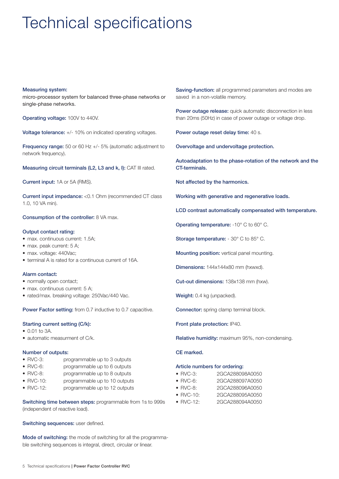# Technical specifications

#### Measuring system:

micro-processor system for balanced three-phase networks or single-phase networks.

Operating voltage: 100V to 440V.

Voltage tolerance: +/- 10% on indicated operating voltages.

Frequency range: 50 or 60 Hz +/- 5% (automatic adjustment to network frequency).

Measuring circuit terminals (L2, L3 and k, I): CAT III rated.

Current input: 1A or 5A (RMS).

Current input impedance: <0.1 Ohm (recommended CT class 1.0, 10 VA min).

Consumption of the controller: 8 VA max.

### Output contact rating:

- max. continuous current: 1.5A;
- max. peak current: 5 A;
- max. voltage: 440Vac:
- terminal A is rated for a continuous current of 16A.

### Alarm contact:

- normally open contact;
- max. continuous current: 5 A;
- rated/max. breaking voltage: 250Vac/440 Vac.

Power Factor setting: from 0.7 inductive to 0.7 capacitive.

### Starting current setting (C/k):

- 0.01 to 3A.
- automatic measurment of C/k.

### Number of outputs:

- RVC-3: programmable up to 3 outputs
- RVC-6: programmable up to 6 outputs
- RVC-8: programmable up to 8 outputs
- RVC-10: programmable up to 10 outputs
- RVC-12: programmable up to 12 outputs

Switching time between steps: programmable from 1s to 999s (independent of reactive load).

Switching sequences: user defined.

Mode of switching: the mode of switching for all the programmable switching sequences is integral, direct, circular or linear.

Saving-function: all programmed parameters and modes are saved in a non-volatile memory.

Power outage release: quick automatic disconnection in less than 20ms (50Hz) in case of power outage or voltage drop.

Power outage reset delay time: 40 s.

Overvoltage and undervoltage protection.

Autoadaptation to the phase-rotation of the network and the CT-terminals.

Not affected by the harmonics.

Working with generative and regenerative loads.

LCD contrast automatically compensated with temperature.

Operating temperature: -10° C to 60° C.

Storage temperature: - 30° C to 85° C.

Mounting position: vertical panel mounting.

Dimensions: 144x144x80 mm (hxwxd).

Cut-out dimensions: 138x138 mm (hxw).

Weight: 0.4 kg (unpacked).

Connector: spring clamp terminal block.

Front plate protection: IP40.

Relative humidity: maximum 95%, non-condensing.

CE marked.

#### Article numbers for ordering:

- RVC-3: 2GCA288098A0050
- RVC-6: 2GCA288097A0050
- RVC-8: 2GCA288096A0050
- RVC-10: 2GCA288095A0050
- RVC-12: 2GCA288094A0050